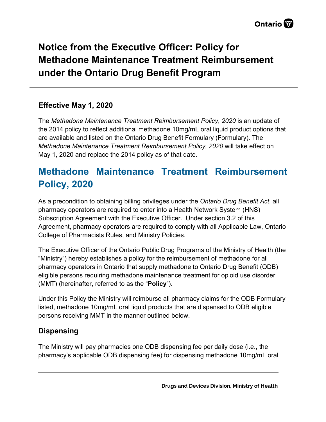# **Notice from the Executive Officer: Policy for Methadone Maintenance Treatment Reimbursement under the Ontario Drug Benefit Program**

### **Effective May 1, 2020**

The *Methadone Maintenance Treatment Reimbursement Policy*, *2020* is an update of the 2014 policy to reflect additional methadone 10mg/mL oral liquid product options that are available and listed on the Ontario Drug Benefit Formulary (Formulary). The *Methadone Maintenance Treatment Reimbursement Policy, 2020* will take effect on May 1, 2020 and replace the 2014 policy as of that date.

## **Methadone Maintenance Treatment Reimbursement Policy, 2020**

As a precondition to obtaining billing privileges under the *Ontario Drug Benefit Act*, all pharmacy operators are required to enter into a Health Network System (HNS) Subscription Agreement with the Executive Officer. Under section 3.2 of this Agreement, pharmacy operators are required to comply with all Applicable Law, Ontario College of Pharmacists Rules, and Ministry Policies.

The Executive Officer of the Ontario Public Drug Programs of the Ministry of Health (the "Ministry") hereby establishes a policy for the reimbursement of methadone for all pharmacy operators in Ontario that supply methadone to Ontario Drug Benefit (ODB) eligible persons requiring methadone maintenance treatment for opioid use disorder (MMT) (hereinafter, referred to as the "**Policy**").

Under this Policy the Ministry will reimburse all pharmacy claims for the ODB Formulary listed, methadone 10mg/mL oral liquid products that are dispensed to ODB eligible persons receiving MMT in the manner outlined below.

### **Dispensing**

The Ministry will pay pharmacies one ODB dispensing fee per daily dose (i.e., the pharmacy's applicable ODB dispensing fee) for dispensing methadone 10mg/mL oral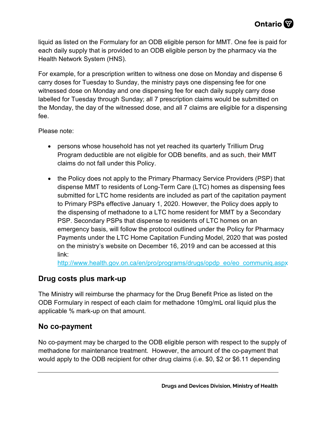liquid as listed on the Formulary for an ODB eligible person for MMT. One fee is paid for each daily supply that is provided to an ODB eligible person by the pharmacy via the Health Network System (HNS).

For example, for a prescription written to witness one dose on Monday and dispense 6 carry doses for Tuesday to Sunday, the ministry pays one dispensing fee for one witnessed dose on Monday and one dispensing fee for each daily supply carry dose labelled for Tuesday through Sunday; all 7 prescription claims would be submitted on the Monday, the day of the witnessed dose, and all 7 claims are eligible for a dispensing fee.

Please note:

- persons whose household has not yet reached its quarterly Trillium Drug Program deductible are not eligible for ODB benefits, and as such, their MMT claims do not fall under this Policy.
- the Policy does not apply to the Primary Pharmacy Service Providers (PSP) that dispense MMT to residents of Long-Term Care (LTC) homes as dispensing fees submitted for LTC home residents are included as part of the capitation payment to Primary PSPs effective January 1, 2020. However, the Policy does apply to the dispensing of methadone to a LTC home resident for MMT by a Secondary PSP. Secondary PSPs that dispense to residents of LTC homes on an emergency basis, will follow the protocol outlined under the Policy for Pharmacy Payments under the LTC Home Capitation Funding Model, 2020 that was posted on the ministry's website on December 16, 2019 and can be accessed at this link:

[http://www.health.gov.on.ca/en/pro/programs/drugs/opdp\\_eo/eo\\_communiq.aspx](http://www.health.gov.on.ca/en/pro/programs/drugs/opdp_eo/eo_communiq.aspx)

### **Drug costs plus mark-up**

The Ministry will reimburse the pharmacy for the Drug Benefit Price as listed on the ODB Formulary in respect of each claim for methadone 10mg/mL oral liquid plus the applicable % mark-up on that amount.

#### **No co-payment**

No co-payment may be charged to the ODB eligible person with respect to the supply of methadone for maintenance treatment. However, the amount of the co-payment that would apply to the ODB recipient for other drug claims (i.e. \$0, \$2 or \$6.11 depending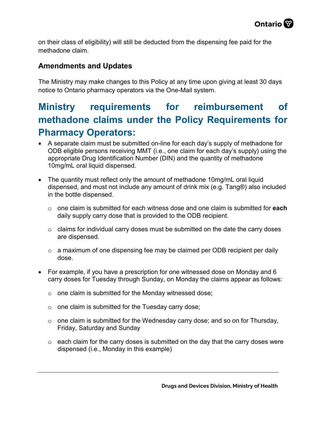on their class of eligibility) will still be deducted from the dispensing fee paid for the methadone claim.

### **Amendments and Updates**

The Ministry may make changes to this Policy at any time upon giving at least 30 days notice to Ontario pharmacy operators via the One-Mail system.

## **Ministry requirements for reimbursement of methadone claims under the Policy Requirements for Pharmacy Operators:**

- A separate claim must be submitted on-line for each day's supply of methadone for ODB eligible persons receiving MMT (i.e., one claim for each day's supply) using the appropriate Drug Identification Number (DIN) and the quantity of methadone 10mg/mL oral liquid dispensed.
- The quantity must reflect only the amount of methadone 10mg/mL oral liquid dispensed, and must not include any amount of drink mix (e.g. Tang®) also included in the bottle dispensed.
	- o one claim is submitted for each witness dose and one claim is submitted for **each** daily supply carry dose that is provided to the ODB recipient.
	- $\circ$  claims for individual carry doses must be submitted on the date the carry doses are dispensed.
	- $\circ$  a maximum of one dispensing fee may be claimed per ODB recipient per daily dose.
- For example, if you have a prescription for one witnessed dose on Monday and 6 carry doses for Tuesday through Sunday, on Monday the claims appear as follows:
	- $\circ$  one claim is submitted for the Monday witnessed dose;
	- $\circ$  one claim is submitted for the Tuesday carry dose;
	- $\circ$  one claim is submitted for the Wednesday carry dose; and so on for Thursday, Friday, Saturday and Sunday
	- $\circ$  each claim for the carry doses is submitted on the day that the carry doses were dispensed (i.e., Monday in this example)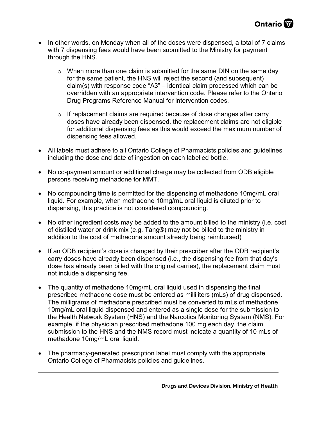- In other words, on Monday when all of the doses were dispensed, a total of 7 claims with 7 dispensing fees would have been submitted to the Ministry for payment through the HNS.
	- $\circ$  When more than one claim is submitted for the same DIN on the same day for the same patient, the HNS will reject the second (and subsequent) claim(s) with response code "A3" – identical claim processed which can be overridden with an appropriate intervention code. Please refer to the Ontario Drug Programs Reference Manual for intervention codes.
	- o If replacement claims are required because of dose changes after carry doses have already been dispensed, the replacement claims are not eligible for additional dispensing fees as this would exceed the maximum number of dispensing fees allowed.
- All labels must adhere to all Ontario College of Pharmacists policies and guidelines including the dose and date of ingestion on each labelled bottle.
- No co-payment amount or additional charge may be collected from ODB eligible persons receiving methadone for MMT.
- No compounding time is permitted for the dispensing of methadone 10mg/mL oral liquid. For example, when methadone 10mg/mL oral liquid is diluted prior to dispensing, this practice is not considered compounding.
- No other ingredient costs may be added to the amount billed to the ministry (i.e. cost of distilled water or drink mix (e.g. Tang®) may not be billed to the ministry in addition to the cost of methadone amount already being reimbursed)
- If an ODB recipient's dose is changed by their prescriber after the ODB recipient's carry doses have already been dispensed (i.e., the dispensing fee from that day's dose has already been billed with the original carries), the replacement claim must not include a dispensing fee.
- The quantity of methadone 10mg/mL oral liquid used in dispensing the final prescribed methadone dose must be entered as milliliters (mLs) of drug dispensed. The milligrams of methadone prescribed must be converted to mLs of methadone 10mg/mL oral liquid dispensed and entered as a single dose for the submission to the Health Network System (HNS) and the Narcotics Monitoring System (NMS). For example, if the physician prescribed methadone 100 mg each day, the claim submission to the HNS and the NMS record must indicate a quantity of 10 mLs of methadone 10mg/mL oral liquid.
- The pharmacy-generated prescription label must comply with the appropriate Ontario College of Pharmacists policies and guidelines.